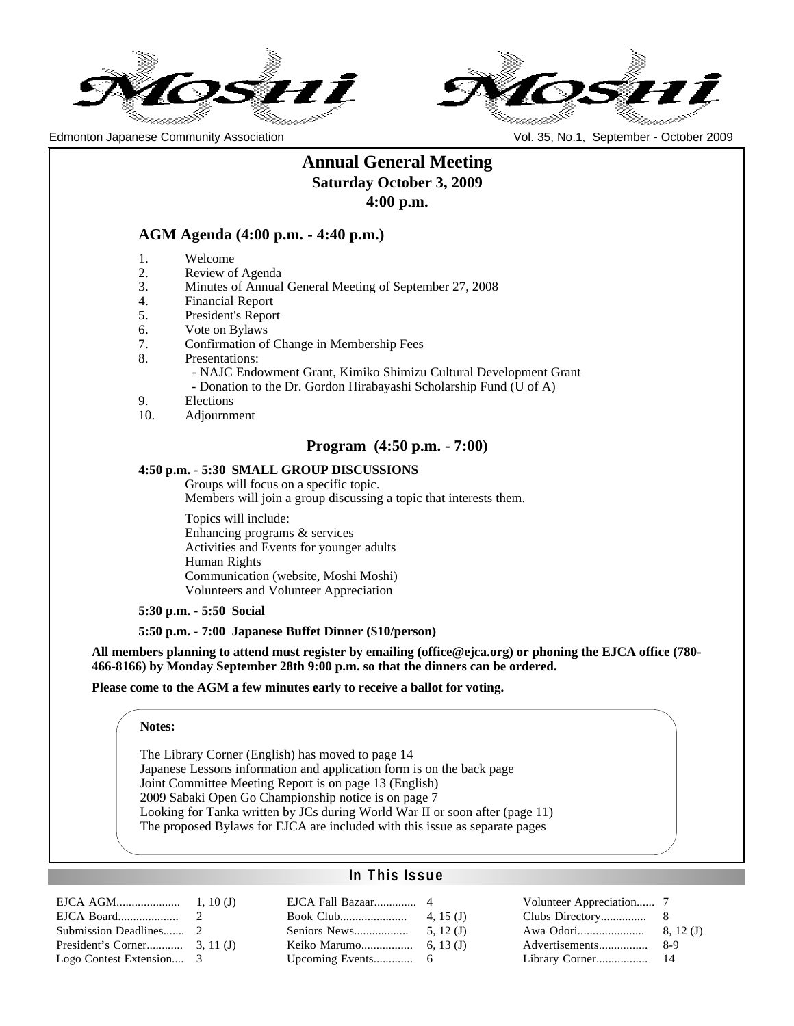

Edmonton Japanese Community Association Vol. 35, No.1, September - October 2009



# **Annual General Meeting Saturday October 3, 2009 4:00 p.m.**

## **AGM Agenda (4:00 p.m. - 4:40 p.m.)**

- 1. Welcome
- 2. Review of Agenda
- 3. Minutes of Annual General Meeting of September 27, 2008
- 4. Financial Report
- 5. President's Report
- 6. Vote on Bylaws
- 7. Confirmation of Change in Membership Fees
- 8. Presentations:

 - NAJC Endowment Grant, Kimiko Shimizu Cultural Development Grant - Donation to the Dr. Gordon Hirabayashi Scholarship Fund (U of A)

- 9. Elections
- 10. Adjournment

## **Program (4:50 p.m. - 7:00)**

#### **4:50 p.m. - 5:30 SMALL GROUP DISCUSSIONS**

Groups will focus on a specific topic. Members will join a group discussing a topic that interests them.

Topics will include: Enhancing programs & services Activities and Events for younger adults Human Rights Communication (website, Moshi Moshi) Volunteers and Volunteer Appreciation

**5:30 p.m. - 5:50 Social**

#### **5:50 p.m. - 7:00 Japanese Buffet Dinner (\$10/person)**

**All members planning to attend must register by emailing (office@ejca.org) or phoning the EJCA office (780- 466-8166) by Monday September 28th 9:00 p.m. so that the dinners can be ordered.**

#### **Please come to the AGM a few minutes early to receive a ballot for voting.**

#### **Notes:**

The Library Corner (English) has moved to page 14 Japanese Lessons information and application form is on the back page Joint Committee Meeting Report is on page 13 (English) 2009 Sabaki Open Go Championship notice is on page 7 Looking for Tanka written by JCs during World War II or soon after (page 11) The proposed Bylaws for EJCA are included with this issue as separate pages

## **In This Issue**

| Logo Contest Extension 3 |  |
|--------------------------|--|

| EJCA Fall Bazaar | $\overline{4}$ |
|------------------|----------------|
|                  | 4. 15 $(J)$    |
| Seniors News     | 5. $12(J)$     |
| Keiko Marumo     | 6.13 $(J)$     |
| Upcoming Events  | 6              |

| Clubs Directory | 8        |
|-----------------|----------|
| Awa Odori       | 8, 12(J) |
| Advertisements  | 8-9      |
| Library Corner  | 14       |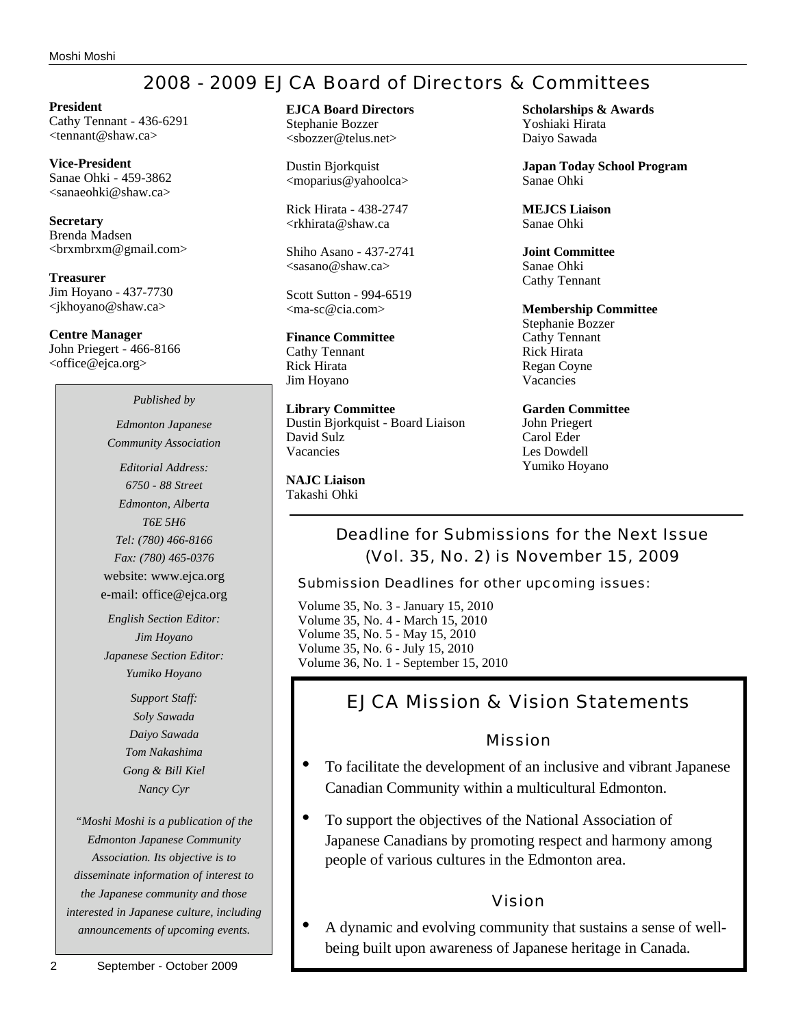# 2008 - 2009 EJCA Board of Directors & Committees

**President** Cathy Tennant - 436-6291 <tennant@shaw.ca>

**Vice-President** Sanae Ohki - 459-3862 <sanaeohki@shaw.ca>

**Secretary** Brenda Madsen <brxmbrxm@gmail.com>

**Treasurer** Jim Hoyano - 437-7730 <jkhoyano@shaw.ca>

**Centre Manager** John Priegert - 466-8166 <office@ejca.org>

*Published by*

*Edmonton Japanese Community Association*

*Editorial Address: 6750 - 88 Street Edmonton, Alberta T6E 5H6 Tel: (780) 466-8166 Fax: (780) 465-0376* website: www.ejca.org e-mail: office@ejca.org

*English Section Editor: Jim Hoyano Japanese Section Editor: Yumiko Hoyano*

> *Support Staff: Soly Sawada Daiyo Sawada Tom Nakashima Gong & Bill Kiel Nancy Cyr*

*"Moshi Moshi is a publication of the Edmonton Japanese Community Association. Its objective is to disseminate information of interest to the Japanese community and those interested in Japanese culture, including announcements of upcoming events.*

#### **EJCA Board Directors** Stephanie Bozzer

<sbozzer@telus.net>

Dustin Bjorkquist <moparius@yahoolca>

Rick Hirata - 438-2747 <rkhirata@shaw.ca

Shiho Asano - 437-2741  $\langle$ sasano@shaw.ca $\rangle$ 

Scott Sutton - 994-6519 <ma-sc@cia.com>

# **Finance Committee**

Cathy Tennant Rick Hirata Jim Hoyano

**Library Committee** Dustin Bjorkquist - Board Liaison David Sulz Vacancies

**NAJC Liaison** Takashi Ohki

**Scholarships & Awards** Yoshiaki Hirata Daiyo Sawada

**Japan Today School Program** Sanae Ohki

**MEJCS Liaison** Sanae Ohki

**Joint Committee** Sanae Ohki Cathy Tennant

**Membership Committee** Stephanie Bozzer Cathy Tennant Rick Hirata Regan Coyne

**Garden Committee** John Priegert Carol Eder Les Dowdell Yumiko Hoyano

Vacancies

Deadline for Submissions for the Next Issue (Vol. 35, No. 2) is November 15, 2009

Submission Deadlines for other upcoming issues:

Volume 35, No. 3 - January 15, 2010 Volume 35, No. 4 - March 15, 2010 Volume 35, No. 5 - May 15, 2010 Volume 35, No. 6 - July 15, 2010 Volume 36, No. 1 - September 15, 2010

# EJCA Mission & Vision Statements

## Mission

- To facilitate the development of an inclusive and vibrant Japanese Canadian Community within a multicultural Edmonton.
- To support the objectives of the National Association of Japanese Canadians by promoting respect and harmony among people of various cultures in the Edmonton area.

# Vision

• A dynamic and evolving community that sustains a sense of wellbeing built upon awareness of Japanese heritage in Canada.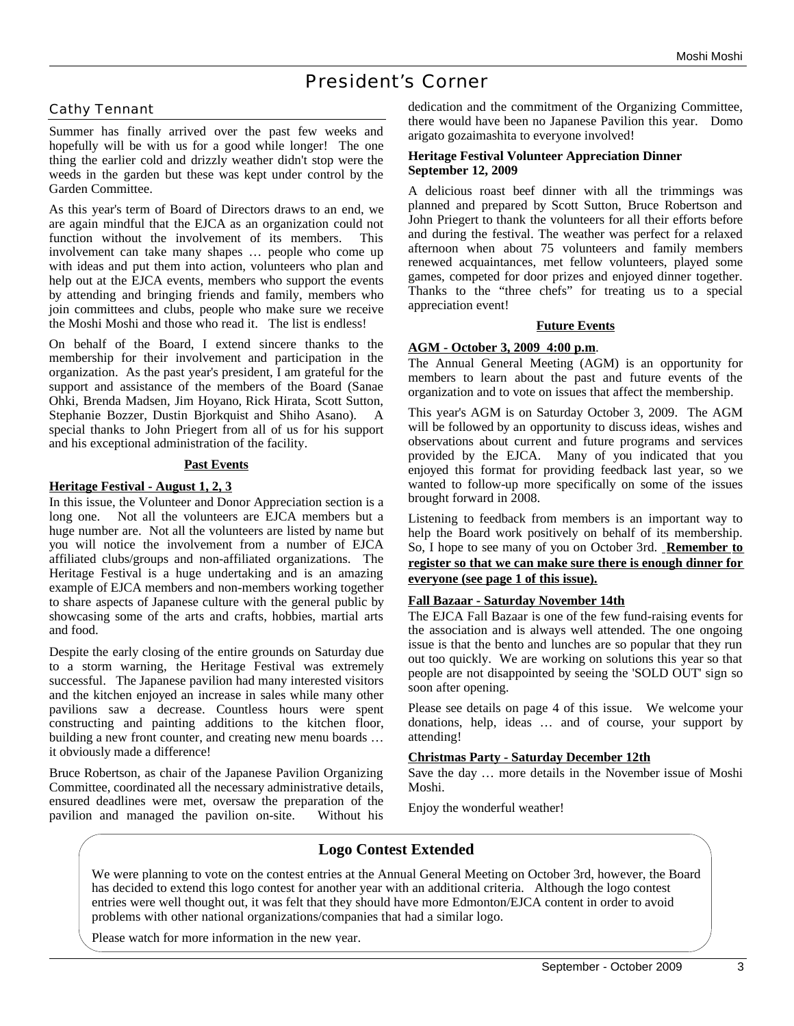# President's Corner

## Cathy Tennant

Summer has finally arrived over the past few weeks and hopefully will be with us for a good while longer! The one thing the earlier cold and drizzly weather didn't stop were the weeds in the garden but these was kept under control by the Garden Committee.

As this year's term of Board of Directors draws to an end, we are again mindful that the EJCA as an organization could not function without the involvement of its members. This involvement can take many shapes … people who come up with ideas and put them into action, volunteers who plan and help out at the EJCA events, members who support the events by attending and bringing friends and family, members who join committees and clubs, people who make sure we receive the Moshi Moshi and those who read it. The list is endless!

On behalf of the Board, I extend sincere thanks to the membership for their involvement and participation in the organization. As the past year's president, I am grateful for the support and assistance of the members of the Board (Sanae Ohki, Brenda Madsen, Jim Hoyano, Rick Hirata, Scott Sutton, Stephanie Bozzer, Dustin Bjorkquist and Shiho Asano). A special thanks to John Priegert from all of us for his support and his exceptional administration of the facility.

#### **Past Events**

#### **Heritage Festival - August 1, 2, 3**

In this issue, the Volunteer and Donor Appreciation section is a long one. Not all the volunteers are EJCA members but a huge number are. Not all the volunteers are listed by name but you will notice the involvement from a number of EJCA affiliated clubs/groups and non-affiliated organizations. The Heritage Festival is a huge undertaking and is an amazing example of EJCA members and non-members working together to share aspects of Japanese culture with the general public by showcasing some of the arts and crafts, hobbies, martial arts and food.

Despite the early closing of the entire grounds on Saturday due to a storm warning, the Heritage Festival was extremely successful. The Japanese pavilion had many interested visitors and the kitchen enjoyed an increase in sales while many other pavilions saw a decrease. Countless hours were spent constructing and painting additions to the kitchen floor, building a new front counter, and creating new menu boards … it obviously made a difference!

Bruce Robertson, as chair of the Japanese Pavilion Organizing Committee, coordinated all the necessary administrative details, ensured deadlines were met, oversaw the preparation of the pavilion and managed the pavilion on-site. Without his

dedication and the commitment of the Organizing Committee, there would have been no Japanese Pavilion this year. Domo arigato gozaimashita to everyone involved!

#### **Heritage Festival Volunteer Appreciation Dinner September 12, 2009**

A delicious roast beef dinner with all the trimmings was planned and prepared by Scott Sutton, Bruce Robertson and John Priegert to thank the volunteers for all their efforts before and during the festival. The weather was perfect for a relaxed afternoon when about 75 volunteers and family members renewed acquaintances, met fellow volunteers, played some games, competed for door prizes and enjoyed dinner together. Thanks to the "three chefs" for treating us to a special appreciation event!

#### **Future Events**

## **AGM - October 3, 2009 4:00 p.m**.

The Annual General Meeting (AGM) is an opportunity for members to learn about the past and future events of the organization and to vote on issues that affect the membership.

This year's AGM is on Saturday October 3, 2009. The AGM will be followed by an opportunity to discuss ideas, wishes and observations about current and future programs and services provided by the EJCA. Many of you indicated that you enjoyed this format for providing feedback last year, so we wanted to follow-up more specifically on some of the issues brought forward in 2008.

Listening to feedback from members is an important way to help the Board work positively on behalf of its membership. So, I hope to see many of you on October 3rd. **Remember to register so that we can make sure there is enough dinner for everyone (see page 1 of this issue).**

#### **Fall Bazaar - Saturday November 14th**

The EJCA Fall Bazaar is one of the few fund-raising events for the association and is always well attended. The one ongoing issue is that the bento and lunches are so popular that they run out too quickly. We are working on solutions this year so that people are not disappointed by seeing the 'SOLD OUT' sign so soon after opening.

Please see details on page 4 of this issue. We welcome your donations, help, ideas … and of course, your support by attending!

## **Christmas Party - Saturday December 12th**

Save the day … more details in the November issue of Moshi Moshi.

Enjoy the wonderful weather!

## **Logo Contest Extended**

We were planning to vote on the contest entries at the Annual General Meeting on October 3rd, however, the Board has decided to extend this logo contest for another year with an additional criteria. Although the logo contest entries were well thought out, it was felt that they should have more Edmonton/EJCA content in order to avoid problems with other national organizations/companies that had a similar logo.

Please watch for more information in the new year.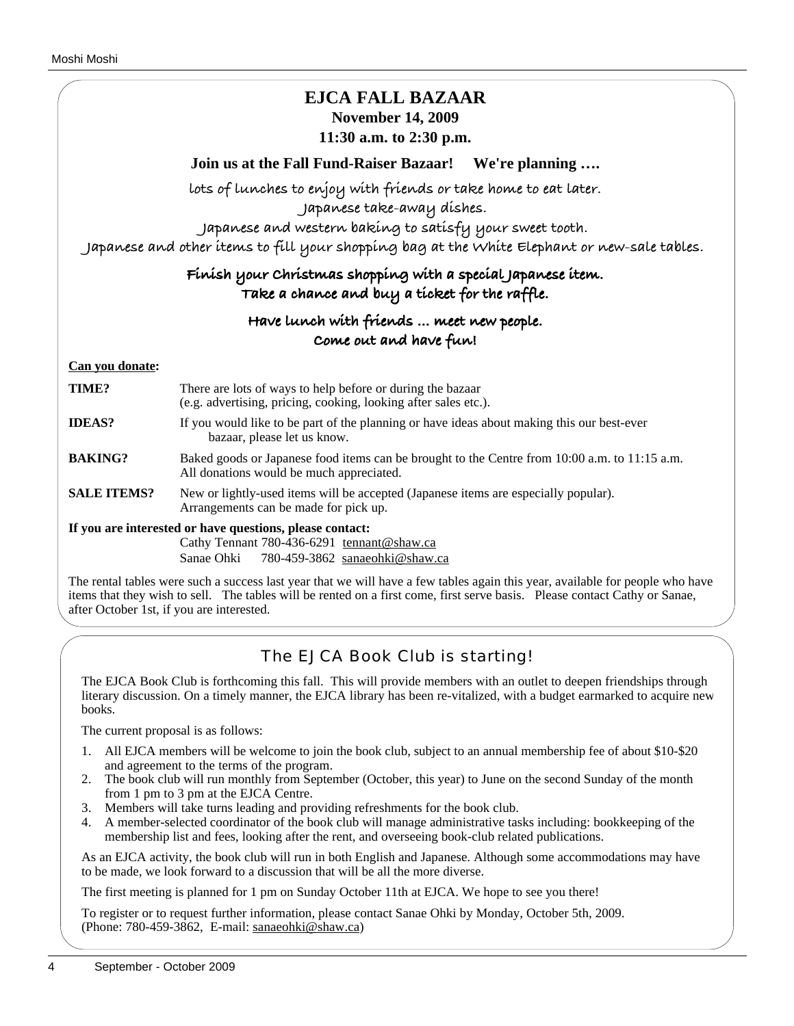# **EJCA FALL BAZAAR November 14, 2009 11:30 a.m. to 2:30 p.m.**

**Join us at the Fall Fund-Raiser Bazaar! We're planning ….**

**lots of lunches to enjoy with friends or take home to eat later.**

**Japanese take-away dishes.**

**Japanese and western baking to satisfy your sweet tooth.**

**Japanese and other items to fill your shopping bag at the White Elephant or new-sale tables.**

# **Finish your Christmas shopping with a special Japanese item. Take a chance and buy a ticket for the raffle.**

# **Have lunch with friends … meet new people. Come out and have fun!**

## **Can you donate:**

| TIME?                                                    | There are lots of ways to help before or during the bazaar<br>(e.g. advertising, pricing, cooking, looking after sales etc.).             |  |  |
|----------------------------------------------------------|-------------------------------------------------------------------------------------------------------------------------------------------|--|--|
| <b>IDEAS?</b>                                            | If you would like to be part of the planning or have ideas about making this our best-ever<br>bazaar, please let us know.                 |  |  |
| <b>BAKING?</b>                                           | Baked goods or Japanese food items can be brought to the Centre from 10:00 a.m. to 11:15 a.m.<br>All donations would be much appreciated. |  |  |
| <b>SALE ITEMS?</b>                                       | New or lightly-used items will be accepted (Japanese items are especially popular).<br>Arrangements can be made for pick up.              |  |  |
| If you are interested or have questions, please contact: |                                                                                                                                           |  |  |
|                                                          | Cathy Tennant 780-436-6291 tennant@shaw.ca                                                                                                |  |  |

Sanae Ohki 780-459-3862 sanaeohki@shaw.ca

The rental tables were such a success last year that we will have a few tables again this year, available for people who have items that they wish to sell. The tables will be rented on a first come, first serve basis. Please contact Cathy or Sanae, after October 1st, if you are interested.

# The EJCA Book Club is starting!

The EJCA Book Club is forthcoming this fall. This will provide members with an outlet to deepen friendships through literary discussion. On a timely manner, the EJCA library has been re-vitalized, with a budget earmarked to acquire new books.

The current proposal is as follows:

- 1. All EJCA members will be welcome to join the book club, subject to an annual membership fee of about \$10-\$20 and agreement to the terms of the program.
- 2. The book club will run monthly from September (October, this year) to June on the second Sunday of the month from 1 pm to 3 pm at the EJCA Centre.
- 3. Members will take turns leading and providing refreshments for the book club.
- 4. A member-selected coordinator of the book club will manage administrative tasks including: bookkeeping of the membership list and fees, looking after the rent, and overseeing book-club related publications.

As an EJCA activity, the book club will run in both English and Japanese. Although some accommodations may have to be made, we look forward to a discussion that will be all the more diverse.

The first meeting is planned for 1 pm on Sunday October 11th at EJCA. We hope to see you there!

To register or to request further information, please contact Sanae Ohki by Monday, October 5th, 2009. (Phone: 780-459-3862, E-mail: sanaeohki@shaw.ca)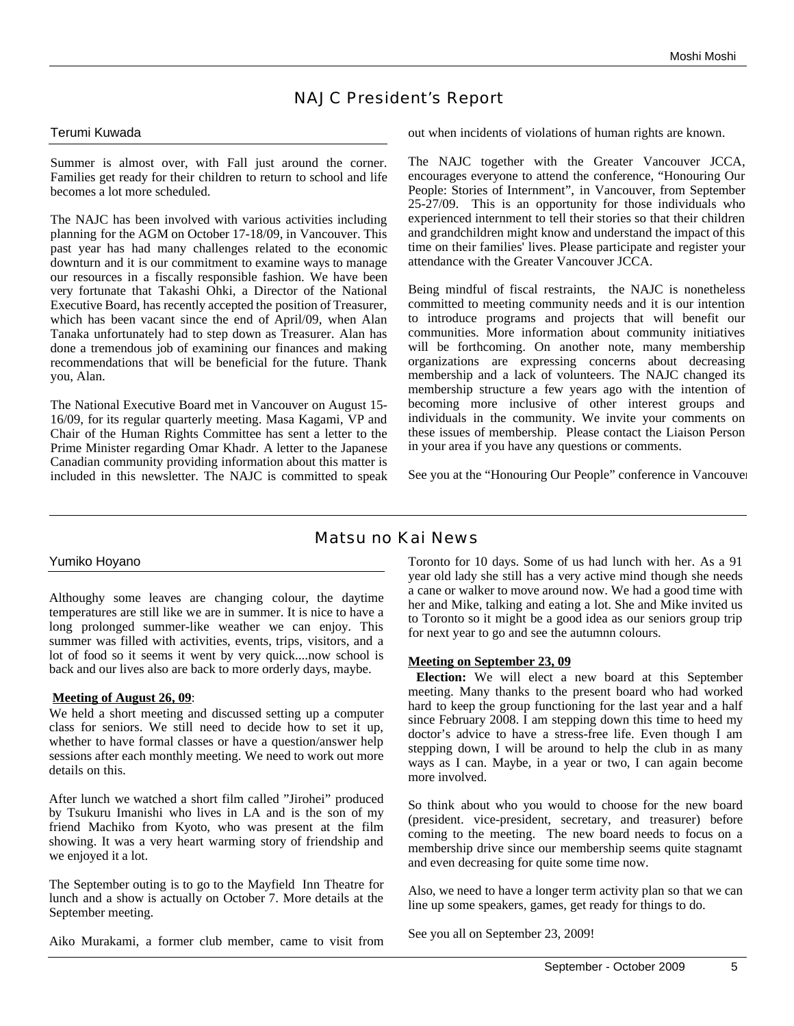# NAJC President's Report

#### Terumi Kuwada

Summer is almost over, with Fall just around the corner. Families get ready for their children to return to school and life becomes a lot more scheduled.

The NAJC has been involved with various activities including planning for the AGM on October 17-18/09, in Vancouver. This past year has had many challenges related to the economic downturn and it is our commitment to examine ways to manage our resources in a fiscally responsible fashion. We have been very fortunate that Takashi Ohki, a Director of the National Executive Board, has recently accepted the position of Treasurer, which has been vacant since the end of April/09, when Alan Tanaka unfortunately had to step down as Treasurer. Alan has done a tremendous job of examining our finances and making recommendations that will be beneficial for the future. Thank you, Alan.

The National Executive Board met in Vancouver on August 15- 16/09, for its regular quarterly meeting. Masa Kagami, VP and Chair of the Human Rights Committee has sent a letter to the Prime Minister regarding Omar Khadr. A letter to the Japanese Canadian community providing information about this matter is included in this newsletter. The NAJC is committed to speak out when incidents of violations of human rights are known.

The NAJC together with the Greater Vancouver JCCA, encourages everyone to attend the conference, "Honouring Our People: Stories of Internment", in Vancouver, from September 25-27/09. This is an opportunity for those individuals who experienced internment to tell their stories so that their children and grandchildren might know and understand the impact of this time on their families' lives. Please participate and register your attendance with the Greater Vancouver JCCA.

Being mindful of fiscal restraints, the NAJC is nonetheless committed to meeting community needs and it is our intention to introduce programs and projects that will benefit our communities. More information about community initiatives will be forthcoming. On another note, many membership organizations are expressing concerns about decreasing membership and a lack of volunteers. The NAJC changed its membership structure a few years ago with the intention of becoming more inclusive of other interest groups and individuals in the community. We invite your comments on these issues of membership. Please contact the Liaison Person in your area if you have any questions or comments.

See you at the "Honouring Our People" conference in Vancouver

## Matsu no Kai News

## Yumiko Hoyano

Althoughy some leaves are changing colour, the daytime temperatures are still like we are in summer. It is nice to have a long prolonged summer-like weather we can enjoy. This summer was filled with activities, events, trips, visitors, and a lot of food so it seems it went by very quick....now school is back and our lives also are back to more orderly days, maybe.

## **Meeting of August 26, 09**:

We held a short meeting and discussed setting up a computer class for seniors. We still need to decide how to set it up, whether to have formal classes or have a question/answer help sessions after each monthly meeting. We need to work out more details on this.

After lunch we watched a short film called "Jirohei" produced by Tsukuru Imanishi who lives in LA and is the son of my friend Machiko from Kyoto, who was present at the film showing. It was a very heart warming story of friendship and we enjoyed it a lot.

The September outing is to go to the Mayfield Inn Theatre for lunch and a show is actually on October 7. More details at the September meeting.

Aiko Murakami, a former club member, came to visit from

Toronto for 10 days. Some of us had lunch with her. As a 91 year old lady she still has a very active mind though she needs a cane or walker to move around now. We had a good time with her and Mike, talking and eating a lot. She and Mike invited us to Toronto so it might be a good idea as our seniors group trip for next year to go and see the autumnn colours.

## **Meeting on September 23, 09**

**Election:** We will elect a new board at this September meeting. Many thanks to the present board who had worked hard to keep the group functioning for the last year and a half since February 2008. I am stepping down this time to heed my doctor's advice to have a stress-free life. Even though I am stepping down, I will be around to help the club in as many ways as I can. Maybe, in a year or two, I can again become more involved.

So think about who you would to choose for the new board (president. vice-president, secretary, and treasurer) before coming to the meeting. The new board needs to focus on a membership drive since our membership seems quite stagnamt and even decreasing for quite some time now.

Also, we need to have a longer term activity plan so that we can line up some speakers, games, get ready for things to do.

See you all on September 23, 2009!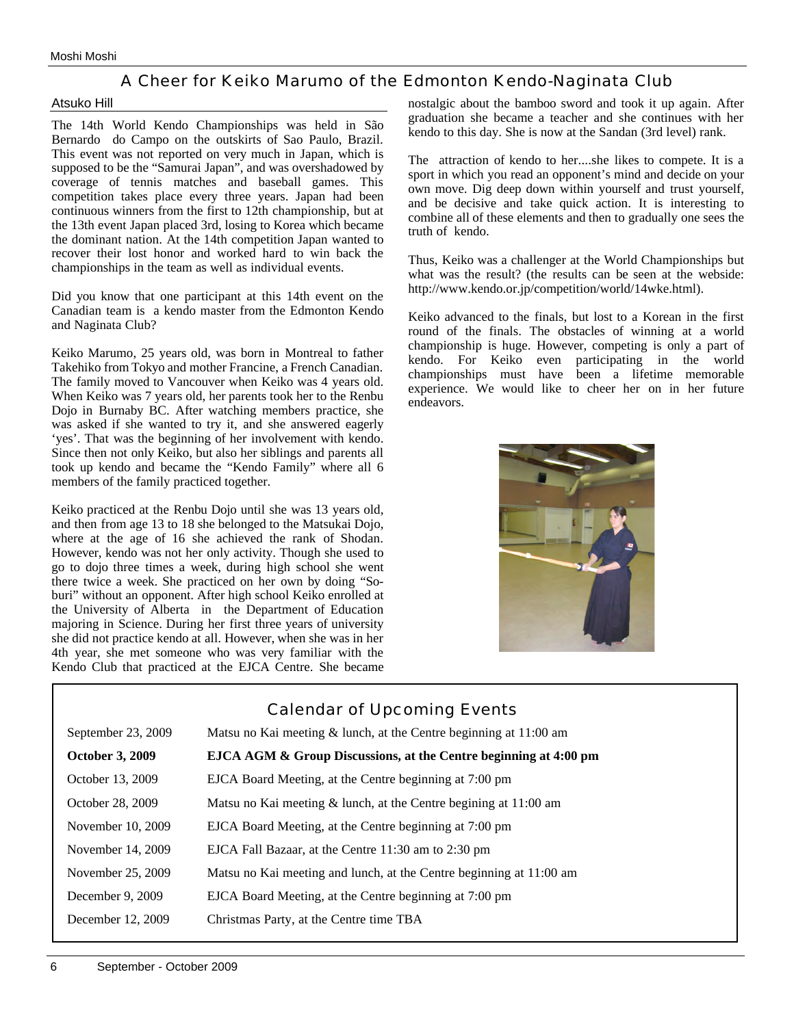## A Cheer for Keiko Marumo of the Edmonton Kendo-Naginata Club

#### Atsuko Hill

The 14th World Kendo Championships was held in São Bernardo do Campo on the outskirts of Sao Paulo, Brazil. This event was not reported on very much in Japan, which is supposed to be the "Samurai Japan", and was overshadowed by coverage of tennis matches and baseball games. This competition takes place every three years. Japan had been continuous winners from the first to 12th championship, but at the 13th event Japan placed 3rd, losing to Korea which became the dominant nation. At the 14th competition Japan wanted to recover their lost honor and worked hard to win back the championships in the team as well as individual events.

Did you know that one participant at this 14th event on the Canadian team is a kendo master from the Edmonton Kendo and Naginata Club?

Keiko Marumo, 25 years old, was born in Montreal to father Takehiko from Tokyo and mother Francine, a French Canadian. The family moved to Vancouver when Keiko was 4 years old. When Keiko was 7 years old, her parents took her to the Renbu Dojo in Burnaby BC. After watching members practice, she was asked if she wanted to try it, and she answered eagerly 'yes'. That was the beginning of her involvement with kendo. Since then not only Keiko, but also her siblings and parents all took up kendo and became the "Kendo Family" where all 6 members of the family practiced together.

Keiko practiced at the Renbu Dojo until she was 13 years old, and then from age 13 to 18 she belonged to the Matsukai Dojo, where at the age of 16 she achieved the rank of Shodan. However, kendo was not her only activity. Though she used to go to dojo three times a week, during high school she went there twice a week. She practiced on her own by doing "Soburi" without an opponent. After high school Keiko enrolled at the University of Alberta in the Department of Education majoring in Science. During her first three years of university she did not practice kendo at all. However, when she was in her 4th year, she met someone who was very familiar with the Kendo Club that practiced at the EJCA Centre. She became

nostalgic about the bamboo sword and took it up again. After graduation she became a teacher and she continues with her kendo to this day. She is now at the Sandan (3rd level) rank.

The attraction of kendo to her....she likes to compete. It is a sport in which you read an opponent's mind and decide on your own move. Dig deep down within yourself and trust yourself, and be decisive and take quick action. It is interesting to combine all of these elements and then to gradually one sees the truth of kendo.

Thus, Keiko was a challenger at the World Championships but what was the result? (the results can be seen at the webside: http://www.kendo.or.jp/competition/world/14wke.html).

Keiko advanced to the finals, but lost to a Korean in the first round of the finals. The obstacles of winning at a world championship is huge. However, competing is only a part of kendo. For Keiko even participating in the world championships must have been a lifetime memorable experience. We would like to cheer her on in her future endeavors.



|                        | <b>Calendar of Upcoming Events</b>                                  |
|------------------------|---------------------------------------------------------------------|
| September 23, 2009     | Matsu no Kai meeting $&$ lunch, at the Centre beginning at 11:00 am |
| <b>October 3, 2009</b> | EJCA AGM & Group Discussions, at the Centre beginning at 4:00 pm    |
| October 13, 2009       | EJCA Board Meeting, at the Centre beginning at 7:00 pm              |
| October 28, 2009       | Matsu no Kai meeting $\&$ lunch, at the Centre begining at 11:00 am |
| November 10, 2009      | EJCA Board Meeting, at the Centre beginning at 7:00 pm              |
| November 14, 2009      | EJCA Fall Bazaar, at the Centre 11:30 am to 2:30 pm                 |
| November 25, 2009      | Matsu no Kai meeting and lunch, at the Centre beginning at 11:00 am |
| December 9, 2009       | EJCA Board Meeting, at the Centre beginning at 7:00 pm              |
| December 12, 2009      | Christmas Party, at the Centre time TBA                             |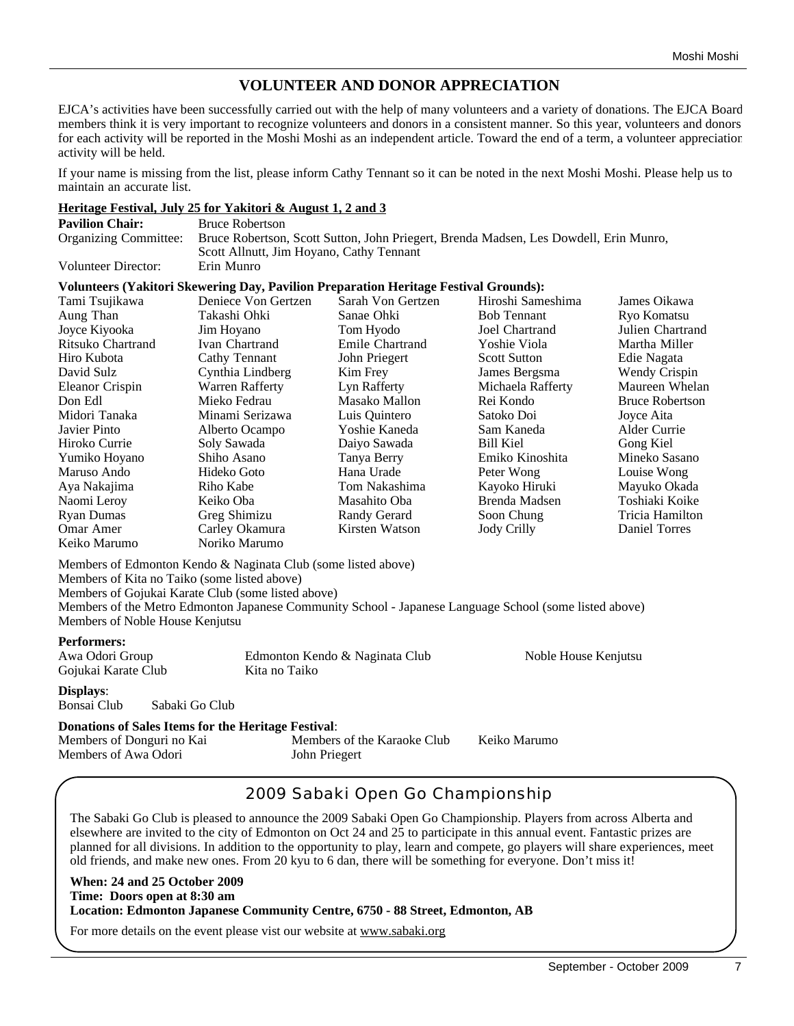# **VOLUNTEER AND DONOR APPRECIATION**

EJCA's activities have been successfully carried out with the help of many volunteers and a variety of donations. The EJCA Board members think it is very important to recognize volunteers and donors in a consistent manner. So this year, volunteers and donors for each activity will be reported in the Moshi Moshi as an independent article. Toward the end of a term, a volunteer appreciation activity will be held.

If your name is missing from the list, please inform Cathy Tennant so it can be noted in the next Moshi Moshi. Please help us to maintain an accurate list.

## **Heritage Festival, July 25 for Yakitori & August 1, 2 and 3**

| <b>Pavilion Chair:</b> | <b>Bruce Robertson</b>                                                                                      |
|------------------------|-------------------------------------------------------------------------------------------------------------|
|                        | Organizing Committee: Bruce Robertson, Scott Sutton, John Priegert, Brenda Madsen, Les Dowdell, Erin Munro, |
|                        | Scott Allnutt, Jim Hoyano, Cathy Tennant                                                                    |
| Volunteer Director:    | Erin Munro                                                                                                  |

#### **Volunteers (Yakitori Skewering Day, Pavilion Preparation Heritage Festival Grounds):**

| Tami Tsujikawa    | Deniece Von Gertzen | Sarah Von Gertzen | Hiroshi Sameshima   | James Oikawa           |
|-------------------|---------------------|-------------------|---------------------|------------------------|
| Aung Than         | Takashi Ohki        | Sanae Ohki        | <b>Bob Tennant</b>  | Ryo Komatsu            |
| Joyce Kiyooka     | Jim Hoyano          | Tom Hyodo         | Joel Chartrand      | Julien Chartrand       |
| Ritsuko Chartrand | Ivan Chartrand      | Emile Chartrand   | Yoshie Viola        | Martha Miller          |
| Hiro Kubota       | Cathy Tennant       | John Priegert     | <b>Scott Sutton</b> | Edie Nagata            |
| David Sulz        | Cynthia Lindberg    | Kim Frey          | James Bergsma       | Wendy Crispin          |
| Eleanor Crispin   | Warren Rafferty     | Lyn Rafferty      | Michaela Rafferty   | Maureen Whelan         |
| Don Edl           | Mieko Fedrau        | Masako Mallon     | Rei Kondo           | <b>Bruce Robertson</b> |
| Midori Tanaka     | Minami Serizawa     | Luis Ouintero     | Satoko Doi          | Joyce Aita             |
| Javier Pinto      | Alberto Ocampo      | Yoshie Kaneda     | Sam Kaneda          | Alder Currie           |
| Hiroko Currie     | Soly Sawada         | Daiyo Sawada      | Bill Kiel           | Gong Kiel              |
| Yumiko Hoyano     | Shiho Asano         | Tanya Berry       | Emiko Kinoshita     | Mineko Sasano          |
| Maruso Ando       | Hideko Goto         | Hana Urade        | Peter Wong          | Louise Wong            |
| Aya Nakajima      | Riho Kabe           | Tom Nakashima     | Kayoko Hiruki       | Mayuko Okada           |
| Naomi Leroy       | Keiko Oba           | Masahito Oba      | Brenda Madsen       | Toshiaki Koike         |
| Ryan Dumas        | Greg Shimizu        | Randy Gerard      | Soon Chung          | Tricia Hamilton        |
| Omar Amer         | Carley Okamura      | Kirsten Watson    | <b>Jody Crilly</b>  | Daniel Torres          |
| Keiko Marumo      | Noriko Marumo       |                   |                     |                        |

Members of Edmonton Kendo & Naginata Club (some listed above) Members of Kita no Taiko (some listed above)

Members of Gojukai Karate Club (some listed above)

Members of the Metro Edmonton Japanese Community School - Japanese Language School (some listed above) Members of Noble House Kenjutsu

| <b>Performers:</b><br>Awa Odori Group<br>Gojukai Karate Club |                | Edmonton Kendo & Naginata Club<br>Kita no Taiko | Noble House Kenjutsu |
|--------------------------------------------------------------|----------------|-------------------------------------------------|----------------------|
| <b>Displays:</b><br>Bonsai Club                              | Sabaki Go Club |                                                 |                      |

## **Donations of Sales Items for the Heritage Festival**:

Members of Donguri no Kai Members of the Karaoke Club Keiko Marumo Members of Awa Odori John Priegert

# 2009 Sabaki Open Go Championship

The Sabaki Go Club is pleased to announce the 2009 Sabaki Open Go Championship. Players from across Alberta and elsewhere are invited to the city of Edmonton on Oct 24 and 25 to participate in this annual event. Fantastic prizes are planned for all divisions. In addition to the opportunity to play, learn and compete, go players will share experiences, meet old friends, and make new ones. From 20 kyu to 6 dan, there will be something for everyone. Don't miss it!

#### **When: 24 and 25 October 2009 Time: Doors open at 8:30 am Location: Edmonton Japanese Community Centre, 6750 - 88 Street, Edmonton, AB**

For more details on the event please vist our website at www.sabaki.org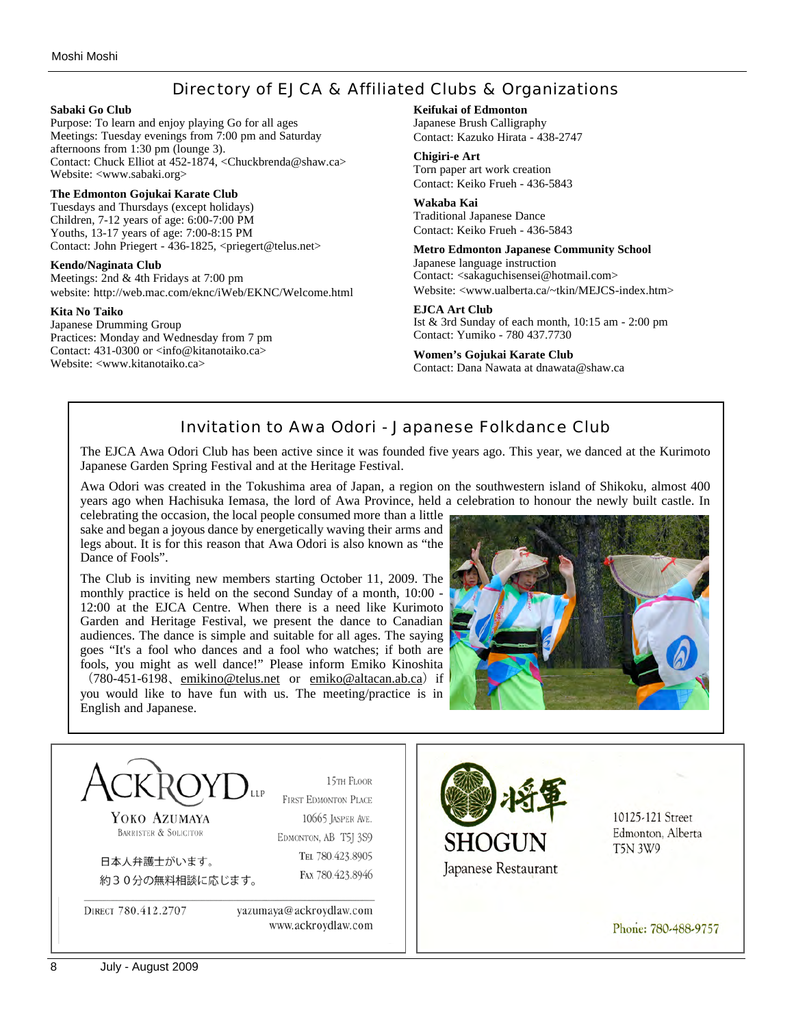# Directory of EJCA & Affiliated Clubs & Organizations

#### **Sabaki Go Club**

Purpose: To learn and enjoy playing Go for all ages Meetings: Tuesday evenings from 7:00 pm and Saturday afternoons from 1:30 pm (lounge 3). Contact: Chuck Elliot at 452-1874, <Chuckbrenda@shaw.ca> Website: <www.sabaki.org>

#### **The Edmonton Gojukai Karate Club**

Tuesdays and Thursdays (except holidays) Children, 7-12 years of age: 6:00-7:00 PM Youths, 13-17 years of age: 7:00-8:15 PM Contact: John Priegert - 436-1825, <priegert@telus.net>

#### **Kendo/Naginata Club**

Meetings: 2nd & 4th Fridays at 7:00 pm website: http://web.mac.com/eknc/iWeb/EKNC/Welcome.html

#### **Kita No Taiko**

Japanese Drumming Group Practices: Monday and Wednesday from 7 pm Contact: 431-0300 or <info@kitanotaiko.ca> Website: <www.kitanotaiko.ca>

#### **Keifukai of Edmonton**

Japanese Brush Calligraphy Contact: Kazuko Hirata - 438-2747

#### **Chigiri-e Art**

Torn paper art work creation Contact: Keiko Frueh - 436-5843

#### **Wakaba Kai**

Traditional Japanese Dance Contact: Keiko Frueh - 436-5843

#### **Metro Edmonton Japanese Community School**

Japanese language instruction Contact: <sakaguchisensei@hotmail.com> Website: <www.ualberta.ca/~tkin/MEJCS-index.htm>

#### **EJCA Art Club**

Ist & 3rd Sunday of each month, 10:15 am - 2:00 pm Contact: Yumiko - 780 437.7730

# **Women's Gojukai Karate Club**

Contact: Dana Nawata at dnawata@shaw.ca

# Invitation to Awa Odori - Japanese Folkdance Club

The EJCA Awa Odori Club has been active since it was founded five years ago. This year, we danced at the Kurimoto Japanese Garden Spring Festival and at the Heritage Festival.

Awa Odori was created in the Tokushima area of Japan, a region on the southwestern island of Shikoku, almost 400 years ago when Hachisuka Iemasa, the lord of Awa Province, held a celebration to honour the newly built castle. In

celebrating the occasion, the local people consumed more than a little sake and began a joyous dance by energetically waving their arms and legs about. It is for this reason that Awa Odori is also known as "the Dance of Fools".

The Club is inviting new members starting October 11, 2009. The monthly practice is held on the second Sunday of a month, 10:00 - 12:00 at the EJCA Centre. When there is a need like Kurimoto Garden and Heritage Festival, we present the dance to Canadian audiences. The dance is simple and suitable for all ages. The saying goes "It's a fool who dances and a fool who watches; if both are fools, you might as well dance!" Please inform Emiko Kinoshita (780-451-6198, emikino@telus.net or emiko@altacan.ab.ca) if

you would like to have fun with us. The meeting/practice is in English and Japanese.



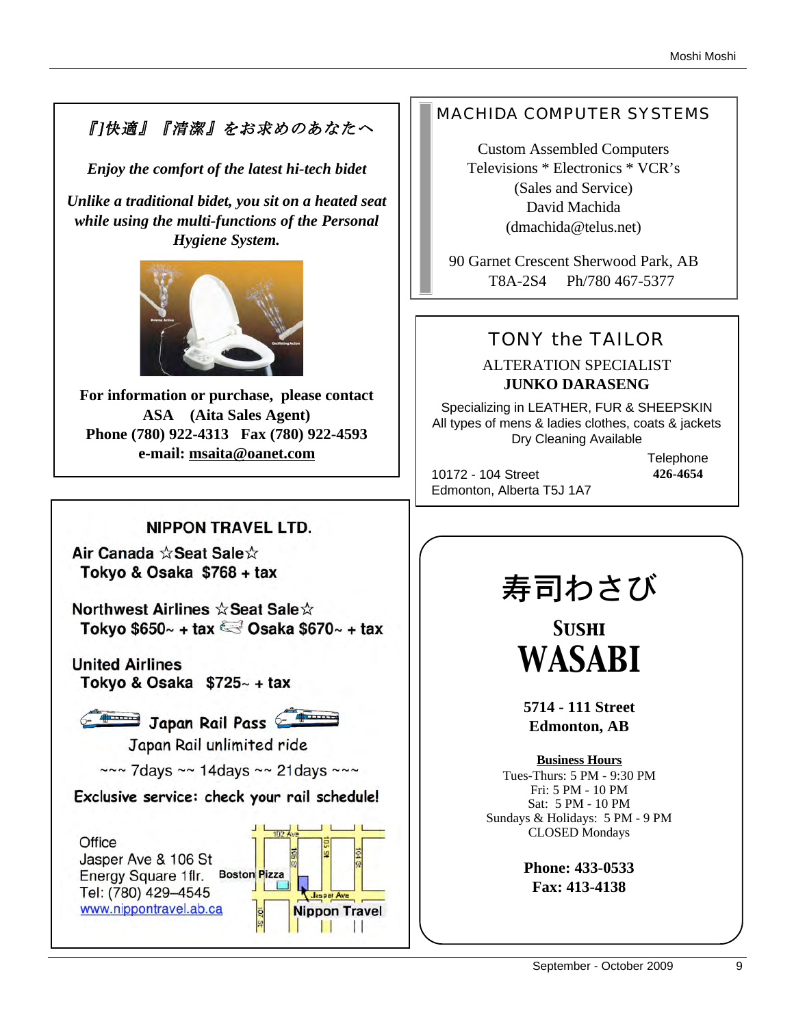# 『]快適』『清潔』をお求めのあなたへ

*Enjoy the comfort of the latest hi-tech bidet*

*Unlike a traditional bidet, you sit on a heated seat while using the multi-functions of the Personal Hygiene System.* 



**For information or purchase, please contact ASA (Aita Sales Agent) Phone (780) 922-4313 Fax (780) 922-4593 e-mail: msaita@oanet.com**

# **NIPPON TRAVEL LTD.**

Air Canada ☆Seat Sale☆ Tokyo & Osaka \$768 + tax

Northwest Airlines ☆ Seat Sale☆ Tokyo \$650 $\sim$  + tax  $\approx$  Osaka \$670 $\sim$  + tax

**United Airlines** Tokyo & Osaka  $$725~+$  tax



Japan Rail Pass

Japan Rail unlimited ride

 $\sim$ ~ 7days ~~ 14days ~~ 21days ~~~

Exclusive service: check your rail schedule!



# MACHIDA COMPUTER SYSTEMS

Custom Assembled Computers Televisions \* Electronics \* VCR's (Sales and Service) David Machida (dmachida@telus.net)

90 Garnet Crescent Sherwood Park, AB T8A-2S4 Ph/780 467-5377

# TONY the TAILOR

# ALTERATION SPECIALIST **JUNKO DARASENG**

Specializing in LEATHER, FUR & SHEEPSKIN All types of mens & ladies clothes, coats & jackets Dry Cleaning Available

10172 - 104 Street Edmonton, Alberta T5J 1A7 **Telephone 426-4654**

# 寿司わさび

*Sushi WASABI*

**5714 - 111 Street Edmonton, AB**

**Business Hours** Tues-Thurs: 5 PM - 9:30 PM Fri: 5 PM - 10 PM Sat: 5 PM - 10 PM Sundays & Holidays: 5 PM - 9 PM CLOSED Mondays

> **Phone: 433-0533 Fax: 413-4138**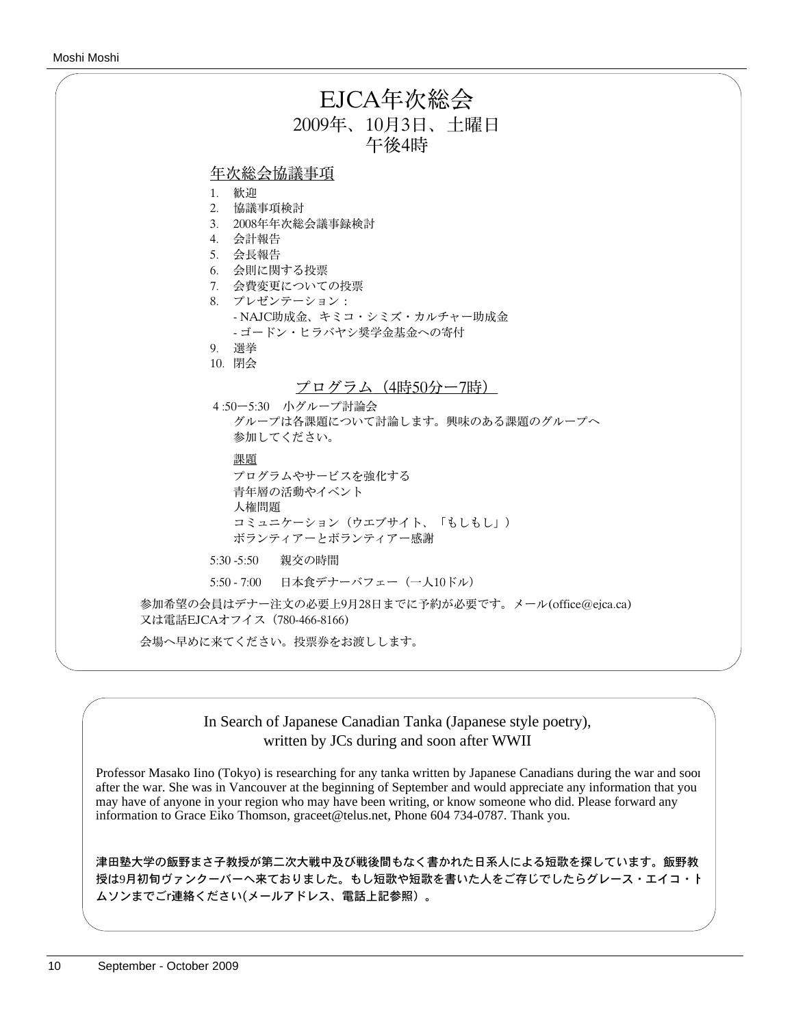| EJCA年次総会<br>2009年、10月3日、土曜日                                                                                                                                                        |
|------------------------------------------------------------------------------------------------------------------------------------------------------------------------------------|
| 午後4時                                                                                                                                                                               |
| 年次総会協議事項<br>1. 歓迎<br>2. 協議事項検討<br>3. 2008年年次総会議事録検討<br>4. 会計報告<br>5. 会長報告<br>6. 会則に関する投票<br>7. 会費変更についての投票<br>8. プレゼンテーション:<br>- NAJC助成金、キミコ・シミズ・カルチャー助成金<br>- ゴードン・ヒラバヤシ奨学金基金への寄付 |
| 9. 選挙                                                                                                                                                                              |
| 10. 閉会                                                                                                                                                                             |
| プログラム (4時50分ー7時)<br>4:50ー5:30 小グループ討論会<br>グループは各課題について討論します。興味のある課題のグループへ                                                                                                          |
| 参加してください。                                                                                                                                                                          |
| 課題<br>プログラムやサービスを強化する<br>青年層の活動やイベント<br>人権問題<br>コミュニケーション(ウエブサイト、「もしもし」)<br>ボランティアーとボランティアー感謝                                                                                      |
| 5:30 -5:50 親交の時間                                                                                                                                                                   |
| 5:50 - 7:00 日本食デナーバフェー (一人10ドル)                                                                                                                                                    |
| 参加希望の会員はデナー注文の必要上9月28日までに予約が必要です。メール(office@ejca.ca)<br>又は電話EJCAオフイス (780-466-8166)                                                                                                |
| 会場へ早めに来てください。投票券をお渡しします。                                                                                                                                                           |
|                                                                                                                                                                                    |

## In Search of Japanese Canadian Tanka (Japanese style poetry), written by JCs during and soon after WWII

Professor Masako Iino (Tokyo) is researching for any tanka written by Japanese Canadians during the war and soon after the war. She was in Vancouver at the beginning of September and would appreciate any information that you may have of anyone in your region who may have been writing, or know someone who did. Please forward any information to Grace Eiko Thomson, graceet@telus.net, Phone 604 734-0787. Thank you.

津田塾大学の飯野まさ子教授が第二次大戦中及び戦後間もなく書かれた日系人による短歌を探しています。飯野教 授は9月初旬ヴァンクーバーへ来ておりました。もし短歌や短歌を書いた人をご存じでしたらグレース・エイコ・ト ムソンまでごr連絡ください(メールアドレス、電話上記参照)。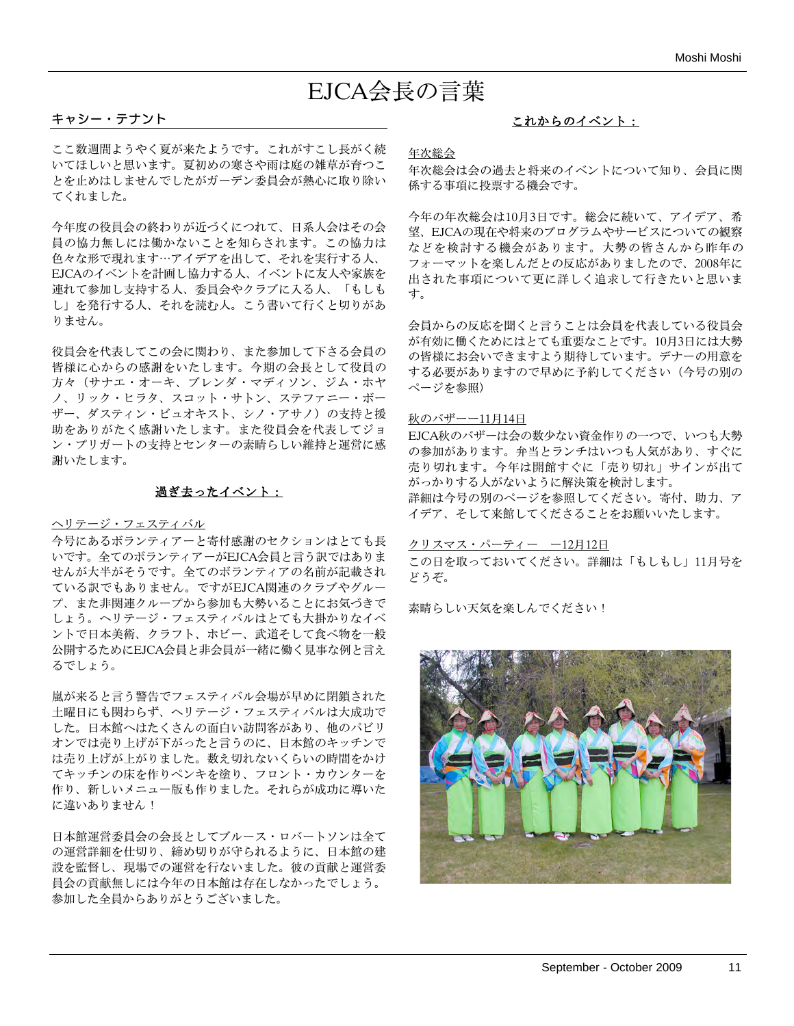# EJCA会長の言葉

#### キャシー・テナント

ここ数週間ようやく夏が来たようです。これがすこし長がく続 いてほしいと思います。夏初めの寒さや雨は庭の雑草が育つこ とを止めはしませんでしたがガーデン委員会が熱心に取り除い てくれました。

今年度の役員会の終わりが近づくにつれて、日系人会はその会 員の協力無しには働かないことを知らされます。この協力は 色々な形で現れます⋯アイデアを出して、それを実行する人、 EJCAのイベントを計画し協力する人、イベントに友人や家族を 連れて参加し支持する人、委員会やクラブに入る人、「もしも し」を発行する人、それを読む人。こう書いて行くと切りがあ りません。

役員会を代表してこの会に関わり、また参加して下さる会員の 皆様に心からの感謝をいたします。今期の会長として役員の 方々(サナエ・オーキ、ブレンダ・マディソン、ジム・ホヤ ノ、リック・ヒラタ、スコット・サトン、ステファニー・ボー ザー、ダスティン・ビュオキスト、シノ・アサノ)の支持と援 助をありがたく感謝いたします。また役員会を代表してジョ ン・プリガートの支持とセンターの素晴らしい維持と運営に感 謝いたします。

#### 過ぎ去ったイベント:

#### ヘリテージ・フェスティバル

今号にあるボランティアーと寄付感謝のセクションはとても長 いです。全てのボランティアーがEJCA会員と言う訳ではありま せんが大半がそうです。全てのボランティアの名前が記載され ている訳でもありません。ですがEJCA関連のクラブやグルー プ、また非関連クループから参加も大勢いることにお気づきで しょう。へリテージ・フェスティバルはとても大掛かりなイベ ントで日本美術、クラフト、ホビー、武道そして食べ物を一般 公開するためにEJCA会員と非会員が一緒に働く見事な例と言え るでしょう。

嵐が来ると言う警告でフェスティバル会場が早めに閉鎖された 土曜日にも関わらず、ヘリテージ・フェスティバルは大成功で した。日本館へはたくさんの面白い訪問客があり、他のパビリ オンでは売り上げが下がったと言うのに、日本館のキッチンで は売り上げが上がりました。数え切れないくらいの時間をかけ てキッチンの床を作りペンキを塗り、フロント・カウンターを 作り、新しいメニュー版も作りました。それらが成功に導いた に違いありません!

日本館運営委員会の会長としてブルース・ロバートソンは全て の運営詳細を仕切り、締め切りが守られるように、日本館の建 設を監督し、現場での運営を行ないました。彼の貢献と運営委 員会の貢献無しには今年の日本館は存在しなかったでしょう。 参加した全員からありがとうございました。

## これからのイベント:

年次総会

年次総会は会の過去と将来のイベントについて知り、会員に関 係する事項に投票する機会です。

今年の年次総会は10月3日です。総会に続いて、アイデア、希 望、EJCAの現在や将来のプログラムやサービスについての観察 などを検討する機会があります。大勢の皆さんから昨年の フォーマットを楽しんだとの反応がありましたので、2008年に 出された事項について更に詳しく追求して行きたいと思いま す。

会員からの反応を聞くと言うことは会員を代表している役員会 が有効に働くためにはとても重要なことです。10月3日には大勢 の皆様にお会いできますよう期待しています。デナーの用意を する必要がありますので早めに予約してください(今号の別の ページを参照)

#### 秋のバザーー11月14日

EJCA秋のバザーは会の数少ない資金作りの一つで、いつも大勢 の参加があります。弁当とランチはいつも人気があり、すぐに 売り切れます。今年は開館すぐに「売り切れ」サインが出て がっかりする人がないように解決策を検討します。 詳細は今号の別のページを参照してください。寄付、助力、ア イデア、そして来館してくださることをお願いいたします。

#### クリスマス・パーティー ー12月12日

この日を取っておいてください。詳細は「もしもし」11月号を どうぞ。

素晴らしい天気を楽しんでください!

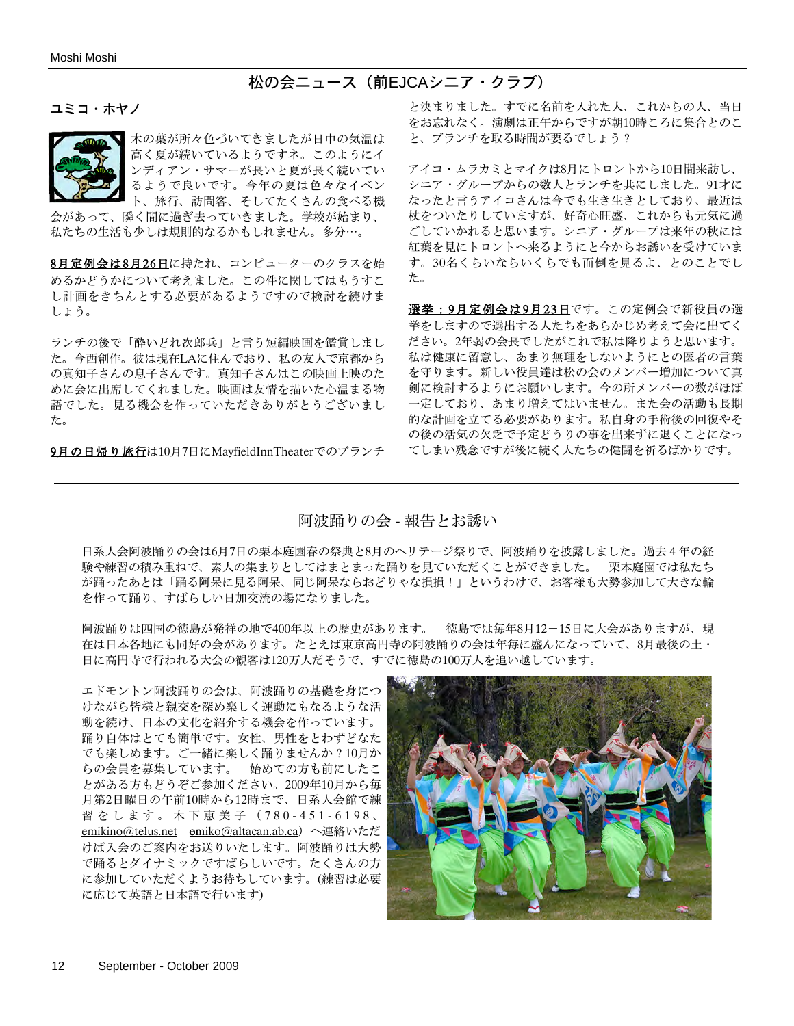松の会ニュース(前EJCAシニア・クラブ)

ユミコ・ホヤノ



木の葉が所々色づいてきましたが日中の気温は 高く夏が続いているようですネ。このようにイ ンディアン・サマーが長いと夏が長く続いてい るようで良いです。今年の夏は色々なイベン ト、旅行、訪問客、そしてたくさんの食べる機

会があって、瞬く間に過ぎ去っていきました。学校が始まり、 私たちの生活も少しは規則的なるかもしれません。多分⋯。

8月定例会は8月26日に持たれ、コンピューターのクラスを始 めるかどうかについて考えました。この件に関してはもうすこ し計画をきちんとする必要があるようですので検討を続けま しょう。

ランチの後で「酔いどれ次郎兵」と言う短編映画を鑑賞しまし た。今西創作。彼は現在LAに住んでおり、私の友人で京都から の真知子さんの息子さんです。真知子さんはこの映画上映のた めに会に出席してくれました。映画は友情を描いた心温まる物 語でした。見る機会を作っていただきありがとうございまし た。

9月の日帰り旅行は10月7日にMavfieldInnTheaterでのブランチ

と決まりました。すでに名前を入れた人、これからの人、当日 をお忘れなく。演劇は正午からですが朝10時ころに集合とのこ と、ブランチを取る時間が要るでしょう?

アイコ・ムラカミとマイクは8月にトロントから10日間来訪し、 シニア・グループからの数人とランチを共にしました。91才に なったと言うアイコさんは今でも生き生きとしており、最近は 杖をついたりしていますが、好奇心旺盛、これからも元気に過 ごしていかれると思います。シニア・グループは来年の秋には 紅葉を見にトロントへ来るようにと今からお誘いを受けていま す。30名くらいならいくらでも面倒を見るよ、とのことでし た。

選挙:9月定例会は9月23日です。この定例会で新役員の選 挙をしますので選出する人たちをあらかじめ考えて会に出てく ださい。2年弱の会長でしたがこれで私は降りようと思います。 私は健康に留意し、あまり無理をしないようにとの医者の言葉 を守ります。新しい役員達は松の会のメンバー増加について真 剣に検討するようにお願いします。今の所メンバーの数がほぼ 一定しており、あまり増えてはいません。また会の活動も長期 的な計画を立てる必要があります。私自身の手術後の回復やそ の後の活気の欠乏で予定どうりの事を出来ずに退くことになっ てしまい残念ですが後に続く人たちの健闘を祈るばかりです。

## 阿波踊りの会 - 報告とお誘い

日系人会阿波踊りの会は6月7日の栗本庭園春の祭典と8月のヘリテージ祭りで、阿波踊りを披露しました。過去4年の経 験や練習の積み重ねで、素人の集まりとしてはまとまった踊りを見ていただくことができました。 栗本庭園では私たち が踊ったあとは「踊る阿呆に見る阿呆、同じ阿呆ならおどりゃな損損!」というわけで、お客様も大勢参加して大きな輪 を作って踊り、すばらしい日加交流の場になりました。

阿波踊りは四国の徳島が発祥の地で400年以上の歴史があります。 徳島では毎年8月12-15日に大会がありますが、現 在は日本各地にも同好の会があります。たとえば東京高円寺の阿波踊りの会は年毎に盛んになっていて、8月最後の土・ 日に高円寺で行われる大会の観客は120万人だそうで、すでに徳島の100万人を追い越しています。

エドモントン阿波踊りの会は、阿波踊りの基礎を身につ けながら皆様と親交を深め楽しく運動にもなるような活 動を続け、日本の文化を紹介する機会を作っています。 踊り自体はとても簡単です。女性、男性をとわずどなた でも楽しめます。ご一緒に楽しく踊りませんか?10月か らの会員を募集しています。 始めての方も前にしたこ とがある方もどうぞご参加ください。2009年10月から毎 月第2日曜日の午前10時から12時まで、日系人会館で練 習をします。木下恵美子(780-451-6198、 emikino@telus.net omiko@altacan.ab.ca)へ連絡いただ けば入会のご案内をお送りいたします。阿波踊りは大勢 で踊るとダイナミックですばらしいです。たくさんの方 に参加していただくようお待ちしています。(練習は必要 に応じて英語と日本語で行います)

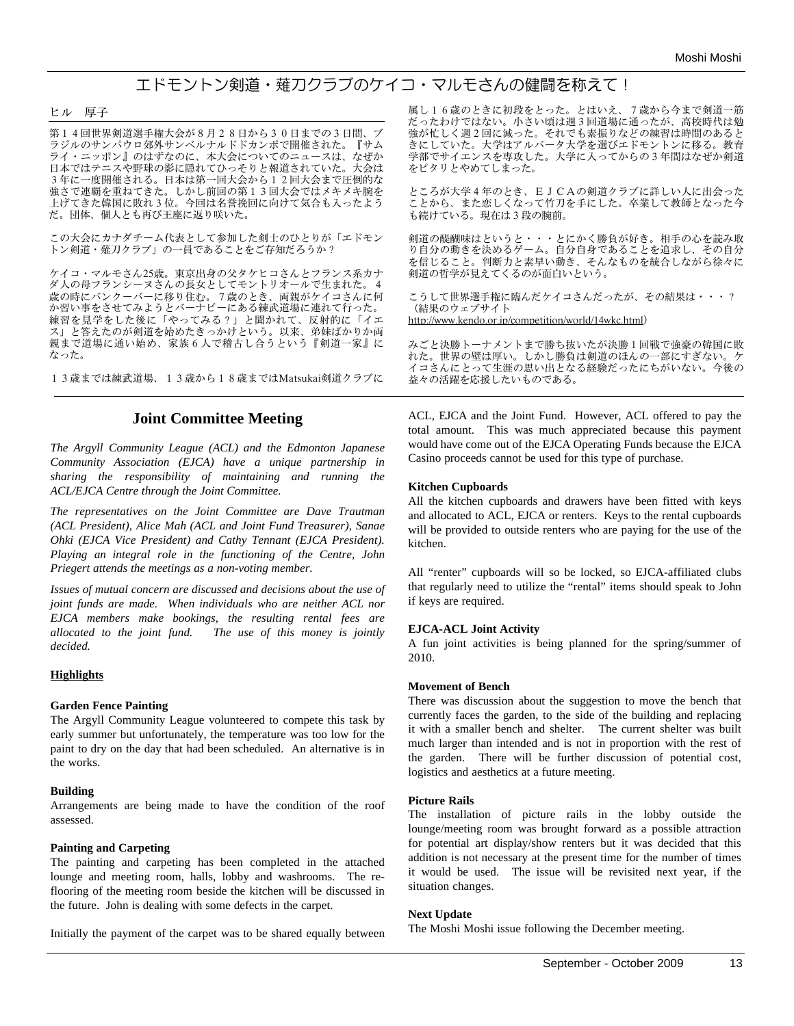# エドモントン剣道・薙刀クラブのケイコ・マルモさんの健闘を称えて!

#### ヒル 厚子

第14回世界剣道選手権大会が8月28日から30日までの3日間、ブ ラジルのサンパウロ郊外サンベルナルドドカンポで開催された。『サム ライ・ニッポン』のはずなのに、本大会についてのニュースは、なぜか 日本ではテニスや野球の影に隠れてひっそりと報道されていた。大会は 3年に一度開催される。日本は第一回大会から12回大会まで圧倒的な 強さで連覇を重ねてきた。しかし前回の第13回大会ではメキメキ腕を 上げてきた韓国に敗れ3位。今回は名誉挽回に向けて気合も入ったよう だ。団体、個人とも再び王座に返り咲いた。

この大会にカナダチーム代表として参加した剣士のひとりが「エドモン トン剣道・薙刀クラブ」の一員であることをご存知だろうか?

ケイコ・マルモさん25歳。東京出身の父タケヒコさんとフランス系カナ ダ人の母フランシーヌさんの長女としてモントリオールで生まれた。4 歳の時にバンクーバーに移り住む。7歳のとき、両親がケイコさんに何 か習い事をさせてみようとバーナビーにある練武道場に連れて行った。 練習を見学をした後に「やってみる?」と聞かれて、反射的に「イエ ス」と答えたのが剣道を始めたきっかけという。以来、弟妹ばかりか両 親まで道場に通い始め、家族6人で稽古し合うという『剣道一家』に なった。

13歳までは練武道場、13歳から18歳まではMatsukai剣道クラブに

#### **Joint Committee Meeting**

*The Argyll Community League (ACL) and the Edmonton Japanese Community Association (EJCA) have a unique partnership in sharing the responsibility of maintaining and running the ACL/EJCA Centre through the Joint Committee.* 

*The representatives on the Joint Committee are Dave Trautman (ACL President), Alice Mah (ACL and Joint Fund Treasurer), Sanae Ohki (EJCA Vice President) and Cathy Tennant (EJCA President). Playing an integral role in the functioning of the Centre, John Priegert attends the meetings as a non-voting member.*

*Issues of mutual concern are discussed and decisions about the use of joint funds are made. When individuals who are neither ACL nor EJCA members make bookings, the resulting rental fees are allocated to the joint fund. The use of this money is jointly decided.*

#### **Highlights**

#### **Garden Fence Painting**

The Argyll Community League volunteered to compete this task by early summer but unfortunately, the temperature was too low for the paint to dry on the day that had been scheduled. An alternative is in the works.

#### **Building**

Arrangements are being made to have the condition of the roof assessed.

#### **Painting and Carpeting**

The painting and carpeting has been completed in the attached lounge and meeting room, halls, lobby and washrooms. The reflooring of the meeting room beside the kitchen will be discussed in the future. John is dealing with some defects in the carpet.

Initially the payment of the carpet was to be shared equally between

属し16歳のときに初段をとった。とはいえ、7歳から今まで剣道一筋 だったわけではない。小さい頃は週3回道場に通ったが、高校時代は勉 強が忙しく週2回に減った。それでも素振りなどの練習は時間のあると きにしていた。大学はアルバータ大学を選びエドモントンに移る。教育 学部でサイエンスを専攻した。大学に入ってからの3年間はなぜか剣道 をピタリとやめてしまった。

ところが大学4年のとき、EJCAの剣道クラブに詳しい人に出会った ことから、また恋しくなって竹刀を手にした。卒業して教師となった今 も続けている。現在は3段の腕前。

剣道の醍醐味はというと・・・とにかく勝負が好き。相手の心を読み取 り自分の動きを決めるゲーム。自分自身であることを追求し、その自分 を信じること。判断力と素早い動き、そんなものを統合しながら徐々に 剣道の哲学が見えてくるのが面白いという。

こうして世界選手権に臨んだケイコさんだったが、その結果は・・・? (結果のウェブサイト http://www.kendo.or.jp/competition/world/14wkc.html)

みごと決勝トーナメントまで勝ち抜いたが決勝1回戦で強豪の韓国に敗 れた。世界の壁は厚い。しかし勝負は剣道のほんの一部にすぎない。ケ イコさんにとって生涯の思い出となる経験だったにちがいない。今後の 益々の活躍を応援したいものである。

ACL, EJCA and the Joint Fund. However, ACL offered to pay the total amount. This was much appreciated because this payment would have come out of the EJCA Operating Funds because the EJCA Casino proceeds cannot be used for this type of purchase.

#### **Kitchen Cupboards**

All the kitchen cupboards and drawers have been fitted with keys and allocated to ACL, EJCA or renters. Keys to the rental cupboards will be provided to outside renters who are paying for the use of the kitchen.

All "renter" cupboards will so be locked, so EJCA-affiliated clubs that regularly need to utilize the "rental" items should speak to John if keys are required.

#### **EJCA-ACL Joint Activity**

A fun joint activities is being planned for the spring/summer of 2010.

#### **Movement of Bench**

There was discussion about the suggestion to move the bench that currently faces the garden, to the side of the building and replacing it with a smaller bench and shelter. The current shelter was built much larger than intended and is not in proportion with the rest of the garden. There will be further discussion of potential cost, logistics and aesthetics at a future meeting.

#### **Picture Rails**

The installation of picture rails in the lobby outside the lounge/meeting room was brought forward as a possible attraction for potential art display/show renters but it was decided that this addition is not necessary at the present time for the number of times it would be used. The issue will be revisited next year, if the situation changes.

#### **Next Update**

The Moshi Moshi issue following the December meeting.